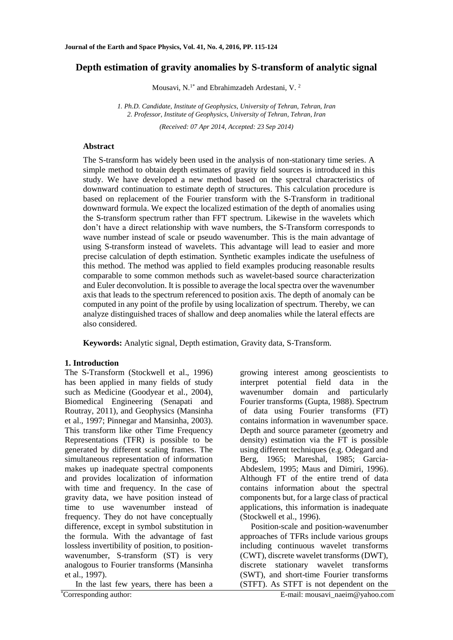# **Depth estimation of gravity anomalies by S-transform of analytic signal**

Mousavi, N.<sup>1\*</sup> and Ebrahimzadeh Ardestani, V.<sup>2</sup>

*1. Ph.D. Candidate, Institute of Geophysics, University of Tehran, Tehran, Iran 2. Professor, Institute of Geophysics, University of Tehran, Tehran, Iran*

*(Received: 07 Apr 2014, Accepted: 23 Sep 2014)*

## **Abstract**

The S-transform has widely been used in the analysis of non-stationary time series. A simple method to obtain depth estimates of gravity field sources is introduced in this study. We have developed a new method based on the spectral characteristics of downward continuation to estimate depth of structures. This calculation procedure is based on replacement of the Fourier transform with the S-Transform in traditional downward formula. We expect the localized estimation of the depth of anomalies using the S-transform spectrum rather than FFT spectrum. Likewise in the wavelets which don't have a direct relationship with wave numbers, the S-Transform corresponds to wave number instead of scale or pseudo wavenumber. This is the main advantage of using S-transform instead of wavelets. This advantage will lead to easier and more precise calculation of depth estimation. Synthetic examples indicate the usefulness of this method. The method was applied to field examples producing reasonable results comparable to some common methods such as wavelet-based source characterization and Euler deconvolution. It is possible to average the local spectra over the wavenumber axis that leads to the spectrum referenced to position axis. The depth of anomaly can be computed in any point of the profile by using localization of spectrum. Thereby, we can analyze distinguished traces of shallow and deep anomalies while the lateral effects are also considered.

**Keywords:** Analytic signal, Depth estimation, Gravity data, S-Transform.

### **1. Introduction**

The S-Transform (Stockwell et al., 1996) has been applied in many fields of study such as Medicine (Goodyear et al., 2004), Biomedical Engineering (Senapati and Routray, 2011), and Geophysics (Mansinha et al., 1997; Pinnegar and Mansinha, 2003). This transform like other Time Frequency Representations (TFR) is possible to be generated by different scaling frames. The simultaneous representation of information makes up inadequate spectral components and provides localization of information with time and frequency. In the case of gravity data, we have position instead of time to use wavenumber instead of frequency. They do not have conceptually difference, except in symbol substitution in the formula. With the advantage of fast lossless invertibility of position, to positionwavenumber, S-transform (ST) is very analogous to Fourier transforms (Mansinha et al., 1997).

In the last few years, there has been a \*Corresponding author: E-mail: mousavi\_naeim@yahoo.com

growing interest among geoscientists to interpret potential field data in the wavenumber domain and particularly Fourier transforms (Gupta, 1988). Spectrum of data using Fourier transforms (FT) contains information in wavenumber space. Depth and source parameter (geometry and density) estimation via the FT is possible using different techniques (e.g. Odegard and Berg, 1965; Mareshal, 1985; Garcia-Abdeslem, 1995; Maus and Dimiri, 1996). Although FT of the entire trend of data contains information about the spectral components but, for a large class of practical applications, this information is inadequate (Stockwell et al., 1996).

Position-scale and position-wavenumber approaches of TFRs include various groups including continuous wavelet transforms (CWT), discrete wavelet transforms (DWT), discrete stationary wavelet transforms (SWT), and short-time Fourier transforms (STFT). As STFT is not dependent on the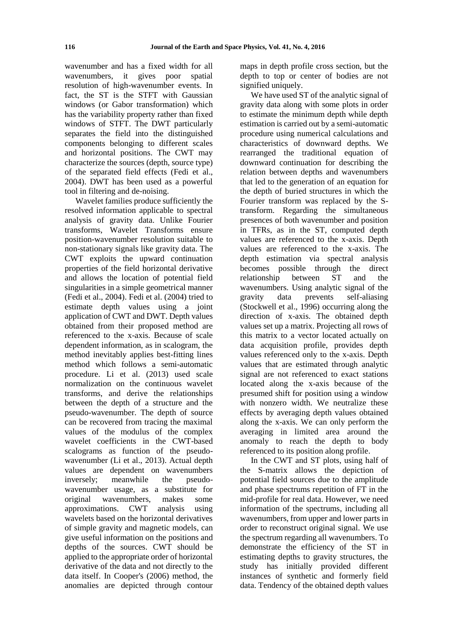wavenumber and has a fixed width for all wavenumbers, it gives poor spatial resolution of high-wavenumber events. In fact, the ST is the STFT with Gaussian windows (or Gabor transformation) which has the variability property rather than fixed windows of STFT. The DWT particularly separates the field into the distinguished components belonging to different scales and horizontal positions. The CWT may characterize the sources (depth, source type) of the separated field effects (Fedi et al., 2004). DWT has been used as a powerful tool in filtering and de-noising.

Wavelet families produce sufficiently the resolved information applicable to spectral analysis of gravity data. Unlike Fourier transforms, Wavelet Transforms ensure position-wavenumber resolution suitable to non-stationary signals like gravity data. The CWT exploits the upward continuation properties of the field horizontal derivative and allows the location of potential field singularities in a simple geometrical manner (Fedi et al., 2004). Fedi et al. (2004) tried to estimate depth values using a joint application of CWT and DWT. Depth values obtained from their proposed method are referenced to the x-axis. Because of scale dependent information, as in scalogram, the method inevitably applies best-fitting lines method which follows a semi-automatic procedure. Li et al. (2013) used scale normalization on the continuous wavelet transforms, and derive the relationships between the depth of a structure and the pseudo-wavenumber. The depth of source can be recovered from tracing the maximal values of the modulus of the complex wavelet coefficients in the CWT-based scalograms as function of the pseudowavenumber (Li et al., 2013). Actual depth values are dependent on wavenumbers inversely; meanwhile the pseudowavenumber usage, as a substitute for original wavenumbers, makes some approximations. CWT analysis using wavelets based on the horizontal derivatives of simple gravity and magnetic models, can give useful information on the positions and depths of the sources. CWT should be applied to the appropriate order of horizontal derivative of the data and not directly to the data itself. In Cooper's (2006) method, the anomalies are depicted through contour maps in depth profile cross section, but the depth to top or center of bodies are not signified uniquely.

We have used ST of the analytic signal of gravity data along with some plots in order to estimate the minimum depth while depth estimation is carried out by a semi-automatic procedure using numerical calculations and characteristics of downward depths. We rearranged the traditional equation of downward continuation for describing the relation between depths and wavenumbers that led to the generation of an equation for the depth of buried structures in which the Fourier transform was replaced by the Stransform. Regarding the simultaneous presences of both wavenumber and position in TFRs, as in the ST, computed depth values are referenced to the x-axis. Depth values are referenced to the x-axis. The depth estimation via spectral analysis becomes possible through the direct relationship between ST and the wavenumbers. Using analytic signal of the gravity data prevents self-aliasing (Stockwell et al., 1996) occurring along the direction of x-axis. The obtained depth values set up a matrix. Projecting all rows of this matrix to a vector located actually on data acquisition profile, provides depth values referenced only to the x-axis. Depth values that are estimated through analytic signal are not referenced to exact stations located along the x-axis because of the presumed shift for position using a window with nonzero width. We neutralize these effects by averaging depth values obtained along the x-axis. We can only perform the averaging in limited area around the anomaly to reach the depth to body referenced to its position along profile.

In the CWT and ST plots, using half of the S-matrix allows the depiction of potential field sources due to the amplitude and phase spectrums repetition of FT in the mid-profile for real data. However, we need information of the spectrums, including all wavenumbers, from upper and lower parts in order to reconstruct original signal. We use the spectrum regarding all wavenumbers. To demonstrate the efficiency of the ST in estimating depths to gravity structures, the study has initially provided different instances of synthetic and formerly field data. Tendency of the obtained depth values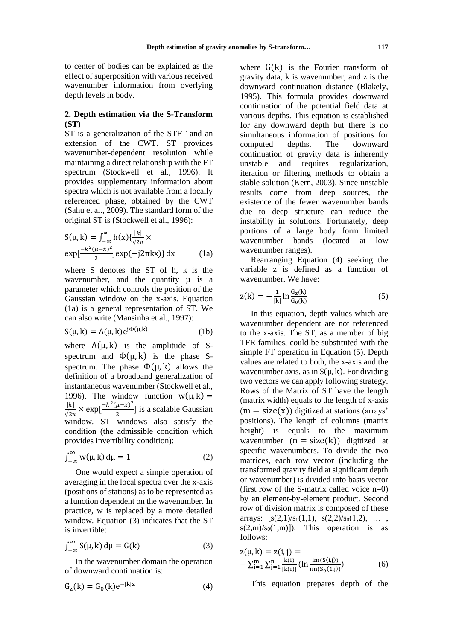to center of bodies can be explained as the effect of superposition with various received wavenumber information from overlying depth levels in body.

### **2. Depth estimation via the S-Transform (ST)**

ST is a generalization of the STFT and an extension of the CWT. ST provides wavenumber-dependent resolution while maintaining a direct relationship with the FT spectrum (Stockwell et al., 1996). It provides supplementary information about spectra which is not available from a locally referenced phase, obtained by the CWT (Sahu et al., 2009). The standard form of the original ST is (Stockwell et al., 1996):

$$
S(\mu, k) = \int_{-\infty}^{\infty} h(x) \{ \frac{|k|}{\sqrt{2\pi}} \times
$$
  
\n
$$
\exp\left[\frac{-k^2(\mu - x)^2}{2}\right] \exp(-j2\pi kx) \} dx
$$
 (1a)

where S denotes the ST of h, k is the wavenumber, and the quantity  $\mu$  is a parameter which controls the position of the Gaussian window on the x-axis. Equation (1a) is a general representation of ST. We can also write (Mansinha et al., 1997):

$$
S(\mu, k) = A(\mu, k)e^{j\Phi(\mu, k)} \tag{1b}
$$

where  $A(\mu, k)$  is the amplitude of Sspectrum and  $\Phi(\mu, k)$  is the phase Sspectrum. The phase  $\Phi(\mu, k)$  allows the definition of a broadband generalization of instantaneous wavenumber (Stockwell et al., 1996). The window function  $w(\mu, k) =$  $|k|$  $\frac{|k|}{\sqrt{2\pi}} \times \exp\left[\frac{-k^2(\mu - x)^2}{2}\right]$  $\frac{\mu - \lambda}{2}$ ] is a scalable Gaussian window. ST windows also satisfy the condition (the admissible condition which provides invertibility condition):

$$
\int_{-\infty}^{\infty} w(\mu, k) d\mu = 1 \tag{2}
$$

One would expect a simple operation of averaging in the local spectra over the x-axis (positions of stations) as to be represented as a function dependent on the wavenumber. In practice, w is replaced by a more detailed window. Equation (3) indicates that the ST is invertible:

$$
\int_{-\infty}^{\infty} S(\mu, k) d\mu = G(k)
$$
 (3)

In the wavenumber domain the operation of downward continuation is:

$$
G_z(k) = G_0(k)e^{-|k|z}
$$
 (4)

where  $G(k)$  is the Fourier transform of gravity data, k is wavenumber, and z is the downward continuation distance (Blakely, 1995). This formula provides downward continuation of the potential field data at various depths. This equation is established for any downward depth but there is no simultaneous information of positions for computed depths. The downward continuation of gravity data is inherently unstable and requires regularization, iteration or filtering methods to obtain a stable solution (Kern, 2003). Since unstable results come from deep sources, the existence of the fewer wavenumber bands due to deep structure can reduce the instability in solutions. Fortunately, deep portions of a large body form limited wavenumber bands (located at low wavenumber ranges).

Rearranging Equation (4) seeking the variable z is defined as a function of wavenumber. We have:

$$
z(k) = -\frac{1}{|k|} \ln \frac{G_z(k)}{G_0(k)}
$$
(5)

In this equation, depth values which are wavenumber dependent are not referenced to the x-axis. The ST, as a member of big TFR families, could be substituted with the simple FT operation in Equation (5). Depth values are related to both, the x-axis and the wavenumber axis, as in  $S(\mu, k)$ . For dividing two vectors we can apply following strategy. Rows of the Matrix of ST have the length (matrix width) equals to the length of x-axis  $(m = size(x))$  digitized at stations (arrays' positions). The length of columns (matrix height) is equals to the maximum wavenumber  $(n = size(k))$  digitized at specific wavenumbers. To divide the two matrices, each row vector (including the transformed gravity field at significant depth or wavenumber) is divided into basis vector (first row of the S-matrix called voice n=0) by an element-by-element product. Second row of division matrix is composed of these arrays:  $[s(2,1)/s_0(1,1), s(2,2)/s_0(1,2), \ldots]$  $s(2,m)/s_0(1,m)$ ]). This operation is as follows:

$$
z(\mu, k) = z(i, j) =
$$
  
-  $\sum_{i=1}^{m} \sum_{j=1}^{n} \frac{k(i)}{|k(i)|} (ln \frac{im(S(i,j))}{im(S_0(i,j))})$  (6)

This equation prepares depth of the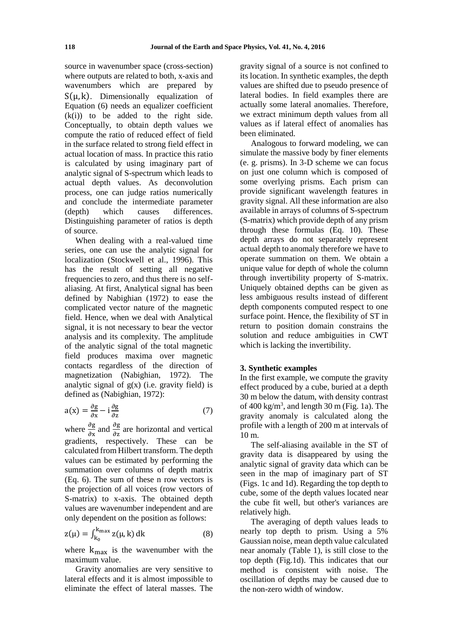source in wavenumber space (cross-section) where outputs are related to both, x-axis and wavenumbers which are prepared by  $S(\mu, k)$ . Dimensionally equalization of Equation (6) needs an equalizer coefficient  $(k(i))$  to be added to the right side. Conceptually, to obtain depth values we compute the ratio of reduced effect of field in the surface related to strong field effect in actual location of mass. In practice this ratio is calculated by using imaginary part of analytic signal of S-spectrum which leads to actual depth values. As deconvolution process, one can judge ratios numerically and conclude the intermediate parameter (depth) which causes differences. Distinguishing parameter of ratios is depth of source.

When dealing with a real-valued time series, one can use the analytic signal for localization (Stockwell et al., 1996). This has the result of setting all negative frequencies to zero, and thus there is no selfaliasing. At first, Analytical signal has been defined by Nabighian (1972) to ease the complicated vector nature of the magnetic field. Hence, when we deal with Analytical signal, it is not necessary to bear the vector analysis and its complexity. The amplitude of the analytic signal of the total magnetic field produces maxima over magnetic contacts regardless of the direction of magnetization (Nabighian, 1972). The analytic signal of  $g(x)$  (i.e. gravity field) is defined as (Nabighian, 1972):

$$
a(x) = \frac{\partial g}{\partial x} - i \frac{\partial g}{\partial z} \tag{7}
$$

where  $\frac{\partial g}{\partial x}$  and  $\frac{\partial g}{\partial z}$  are horizontal and vertical gradients, respectively. These can be calculated from Hilbert transform. The depth values can be estimated by performing the summation over columns of depth matrix (Eq. 6). The sum of these n row vectors is the projection of all voices (row vectors of S-matrix) to x-axis. The obtained depth values are wavenumber independent and are only dependent on the position as follows:

$$
z(\mu) = \int_{k_0}^{k_{\text{max}}} z(\mu, k) \, dk \tag{8}
$$

where  $k_{\text{max}}$  is the wavenumber with the maximum value.

Gravity anomalies are very sensitive to lateral effects and it is almost impossible to eliminate the effect of lateral masses. The

gravity signal of a source is not confined to its location. In synthetic examples, the depth values are shifted due to pseudo presence of lateral bodies. In field examples there are actually some lateral anomalies. Therefore, we extract minimum depth values from all values as if lateral effect of anomalies has been eliminated.

Analogous to forward modeling, we can simulate the massive body by finer elements (e. g. prisms). In 3-D scheme we can focus on just one column which is composed of some overlying prisms. Each prism can provide significant wavelength features in gravity signal. All these information are also available in arrays of columns of S-spectrum (S-matrix) which provide depth of any prism through these formulas (Eq. 10). These depth arrays do not separately represent actual depth to anomaly therefore we have to operate summation on them. We obtain a unique value for depth of whole the column through invertibility property of S-matrix. Uniquely obtained depths can be given as less ambiguous results instead of different depth components computed respect to one surface point. Hence, the flexibility of ST in return to position domain constrains the solution and reduce ambiguities in CWT which is lacking the invertibility.

### **3. Synthetic examples**

In the first example, we compute the gravity effect produced by a cube, buried at a depth 30 m below the datum, with density contrast of  $400 \text{ kg/m}^3$ , and length  $30 \text{ m}$  (Fig. 1a). The gravity anomaly is calculated along the profile with a length of 200 m at intervals of 10 m.

The self-aliasing available in the ST of gravity data is disappeared by using the analytic signal of gravity data which can be seen in the map of imaginary part of ST (Figs. 1c and 1d). Regarding the top depth to cube, some of the depth values located near the cube fit well, but other's variances are relatively high.

The averaging of depth values leads to nearly top depth to prism. Using a 5% Gaussian noise, mean depth value calculated near anomaly (Table 1), is still close to the top depth (Fig.1d). This indicates that our method is consistent with noise. The oscillation of depths may be caused due to the non-zero width of window.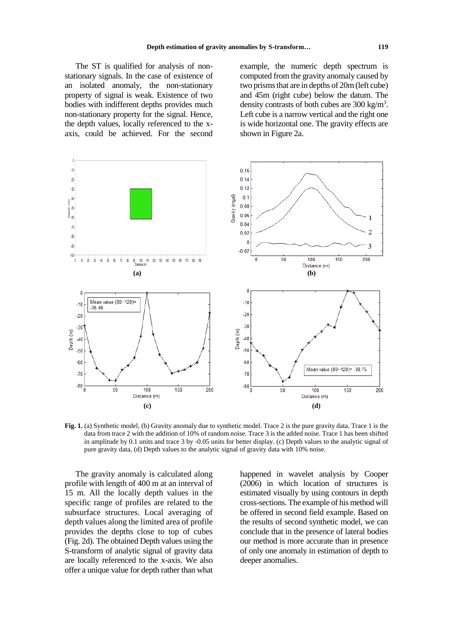The ST is qualified for analysis of nonstationary signals. In the case of existence of an isolated anomaly, the non-stationary property of signal is weak. Existence of two bodies with indifferent depths provides much non-stationary property for the signal. Hence, the depth values, locally referenced to the xaxis, could be achieved. For the second example, the numeric depth spectrum is computed from the gravity anomaly caused by two prisms that are in depths of 20m (left cube) and 45m (right cube) below the datum. The density contrasts of both cubes are 300 kg/m<sup>3</sup>. Left cube is a narrow vertical and the right one is wide horizontal one. The gravity effects are shown in Figure 2a.



**Fig. 1.** (a) Synthetic model, (b) Gravity anomaly due to synthetic model. Trace 2 is the pure gravity data. Trace 1 is the data from trace 2 with the addition of 10% of random noise. Trace 3 is the added noise. Trace 1 has been shifted in amplitude by 0.1 units and trace 3 by -0.05 units for better display. (c) Depth values to the analytic signal of pure gravity data, (d) Depth values to the analytic signal of gravity data with 10% noise.

The gravity anomaly is calculated along profile with length of 400 m at an interval of 15 m. All the locally depth values in the specific range of profiles are related to the subsurface structures. Local averaging of depth values along the limited area of profile provides the depths close to top of cubes (Fig. 2d). The obtained Depth values using the S-transform of analytic signal of gravity data are locally referenced to the x-axis. We also offer a unique value for depth rather than what happened in wavelet analysis by Cooper (2006) in which location of structures is estimated visually by using contours in depth cross-sections. The example of his method will be offered in second field example. Based on the results of second synthetic model, we can conclude that in the presence of lateral bodies our method is more accurate than in presence of only one anomaly in estimation of depth to deeper anomalies.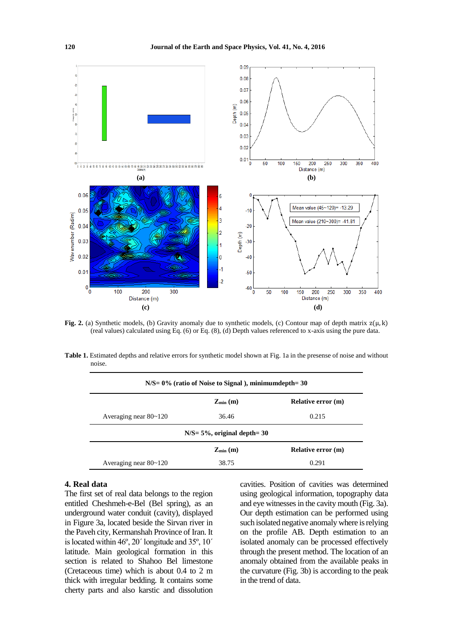

**Fig.** 2. (a) Synthetic models, (b) Gravity anomaly due to synthetic models, (c) Contour map of depth matrix  $z(\mu, k)$ (real values) calculated using Eq. (6) or Eq. (8), (d) Depth values referenced to x-axis using the pure data.

**Table 1.** Estimated depths and relative errors for synthetic model shown at Fig. 1a in the presense of noise and without noise.

| $N/S = 0\%$ (ratio of Noise to Signal), minimumdepth= 30 |                                  |                           |  |
|----------------------------------------------------------|----------------------------------|---------------------------|--|
|                                                          | $Z_{\min}$ (m)                   | <b>Relative error (m)</b> |  |
| Averaging near $80~120$                                  | 36.46                            | 0.215                     |  |
|                                                          | $N/S = 5\%$ , original depth= 30 |                           |  |
|                                                          | $Z_{\min}$ (m)                   | <b>Relative error (m)</b> |  |
| Averaging near $80~120$                                  | 38.75                            | 0.291                     |  |

#### **4. Real data**

The first set of real data belongs to the region entitled Cheshmeh-e-Bel (Bel spring), as an underground water conduit (cavity), displayed in Figure 3a, located beside the Sirvan river in the Paveh city, Kermanshah Province of Iran. It is located within 46º, 20´ longitude and 35º, 10´ latitude. Main geological formation in this section is related to Shahoo Bel limestone (Cretaceous time) which is about 0.4 to 2 m thick with irregular bedding. It contains some cherty parts and also karstic and dissolution

cavities. Position of cavities was determined using geological information, topography data and eye witnesses in the cavity mouth (Fig. 3a). Our depth estimation can be performed using such isolated negative anomaly where is relying on the profile AB. Depth estimation to an isolated anomaly can be processed effectively through the present method. The location of an anomaly obtained from the available peaks in the curvature (Fig. 3b) is according to the peak in the trend of data.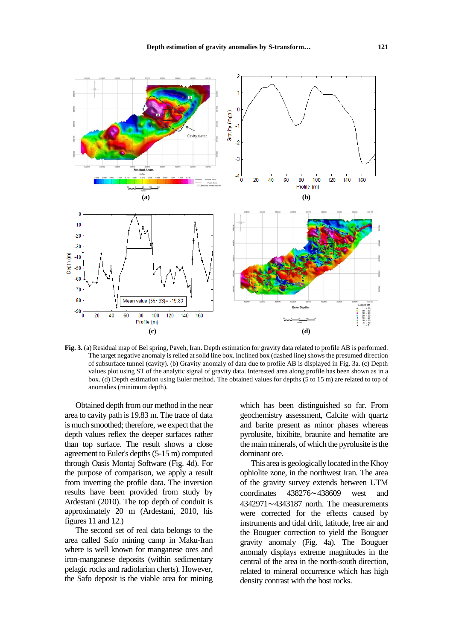

**Fig. 3.** (a) Residual map of Bel spring, Paveh, Iran. Depth estimation for gravity data related to profile AB is performed. The target negative anomaly is relied at solid line box. Inclined box (dashed line) shows the presumed direction of subsurface tunnel (cavity). (b) Gravity anomaly of data due to profile AB is displayed in Fig. 3a. (c) Depth values plot using ST of the analytic signal of gravity data. Interested area along profile has been shown as in a box. (d) Depth estimation using Euler method. The obtained values for depths (5 to 15 m) are related to top of anomalies (minimum depth).

Obtained depth from our method in the near area to cavity path is 19.83 m. The trace of data is much smoothed; therefore, we expect that the depth values reflex the deeper surfaces rather than top surface. The result shows a close agreement to Euler's depths (5-15 m) computed through Oasis Montaj Software (Fig. 4d). For the purpose of comparison, we apply a result from inverting the profile data. The inversion results have been provided from study by Ardestani (2010). The top depth of conduit is approximately 20 m (Ardestani, 2010, his figures 11 and 12.)

The second set of real data belongs to the area called Safo mining camp in Maku-Iran where is well known for manganese ores and iron-manganese deposits (within sedimentary pelagic rocks and radiolarian cherts). However, the Safo deposit is the viable area for mining

which has been distinguished so far. From geochemistry assessment, Calcite with quartz and barite present as minor phases whereas pyrolusite, bixibite, braunite and hematite are the main minerals, of which the pyrolusite is the dominant ore.

This area is geologically located in the Khoy ophiolite zone, in the northwest Iran. The area of the gravity survey extends between UTM coordinates 438276~438609 west and 4342971~4343187 north. The measurements were corrected for the effects caused by instruments and tidal drift, latitude, free air and the Bouguer correction to yield the Bouguer gravity anomaly (Fig. 4a). The Bouguer anomaly displays extreme magnitudes in the central of the area in the north-south direction, related to mineral occurrence which has high density contrast with the host rocks.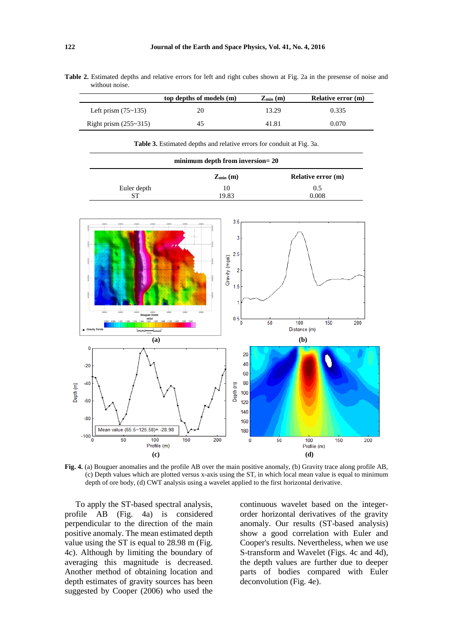| without noise. |                          |                         |                           |
|----------------|--------------------------|-------------------------|---------------------------|
|                | top depths of models (m) | $\mathbf{Z}_{\min}$ (m) | <b>Relative error (m)</b> |

**Table 2.** Estimated depths and relative errors for left and right cubes shown at Fig. 2a in the presense of noise and

|                         | top depths of models (m) | $Z_{min}(m)$ | Relative error (m) |
|-------------------------|--------------------------|--------------|--------------------|
| Left prism $(75~135)$   |                          | 13.29        | 0.335              |
| Right prism $(255-315)$ | 45                       | 41.81        | 0.070              |

**Table 3.** Estimated depths and relative errors for conduit at Fig. 3a.

| minimum depth from inversion= 20 |                |                           |
|----------------------------------|----------------|---------------------------|
|                                  | $Z_{\min}$ (m) | <b>Relative error (m)</b> |
| Euler depth                      | 10             | 0.5                       |
| ST                               | 19.83          | 0.008                     |



**Fig. 4.** (a) Bouguer anomalies and the profile AB over the main positive anomaly, (b) Gravity trace along profile AB, (c) Depth values which are plotted versus x-axis using the ST, in which local mean value is equal to minimum depth of ore body, (d) CWT analysis using a wavelet applied to the first horizontal derivative.

To apply the ST-based spectral analysis, profile AB (Fig. 4a) is considered perpendicular to the direction of the main positive anomaly. The mean estimated depth value using the ST is equal to 28.98 m (Fig. 4c). Although by limiting the boundary of averaging this magnitude is decreased. Another method of obtaining location and depth estimates of gravity sources has been suggested by Cooper (2006) who used the

continuous wavelet based on the integerorder horizontal derivatives of the gravity anomaly. Our results (ST-based analysis) show a good correlation with Euler and Cooper's results. Nevertheless, when we use S-transform and Wavelet (Figs. 4c and 4d), the depth values are further due to deeper parts of bodies compared with Euler deconvolution (Fig. 4e).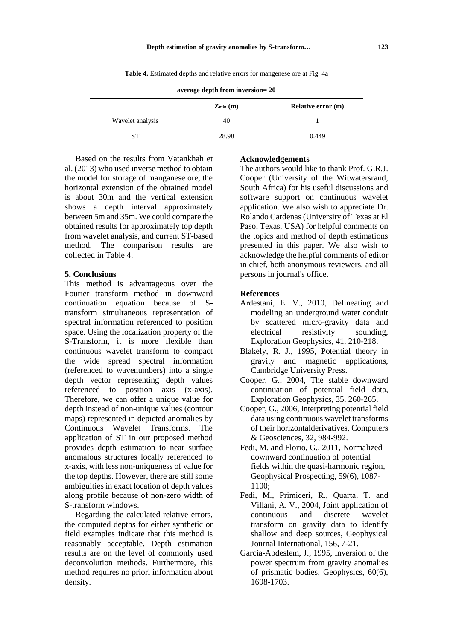| average depth from inversion= 20 |                |                           |  |
|----------------------------------|----------------|---------------------------|--|
|                                  | $Z_{\min}$ (m) | <b>Relative error (m)</b> |  |
| Wavelet analysis                 | 40             |                           |  |
| <b>ST</b>                        | 28.98          | 0.449                     |  |

**Table 4.** Estimated depths and relative errors for mangenese ore at Fig. 4a

Based on the results from Vatankhah et al. (2013) who used inverse method to obtain the model for storage of manganese ore, the horizontal extension of the obtained model is about 30m and the vertical extension shows a depth interval approximately between 5m and 35m. We could compare the obtained results for approximately top depth from wavelet analysis, and current ST-based method. The comparison results are collected in Table 4.

## **5. Conclusions**

This method is advantageous over the Fourier transform method in downward continuation equation because of Stransform simultaneous representation of spectral information referenced to position space. Using the localization property of the S-Transform, it is more flexible than continuous wavelet transform to compact the wide spread spectral information (referenced to wavenumbers) into a single depth vector representing depth values referenced to position axis (x-axis). Therefore, we can offer a unique value for depth instead of non-unique values (contour maps) represented in depicted anomalies by Continuous Wavelet Transforms. The application of ST in our proposed method provides depth estimation to near surface anomalous structures locally referenced to x-axis, with less non-uniqueness of value for the top depths. However, there are still some ambiguities in exact location of depth values along profile because of non-zero width of S-transform windows.

Regarding the calculated relative errors, the computed depths for either synthetic or field examples indicate that this method is reasonably acceptable. Depth estimation results are on the level of commonly used deconvolution methods. Furthermore, this method requires no priori information about density.

## **Acknowledgements**

The authors would like to thank Prof. G.R.J. Cooper (University of the Witwatersrand, South Africa) for his useful discussions and software support on continuous wavelet application. We also wish to appreciate Dr. Rolando Cardenas (University of Texas at El Paso, Texas, USA) for helpful comments on the topics and method of depth estimations presented in this paper. We also wish to acknowledge the helpful comments of editor in chief, both anonymous reviewers, and all persons in journal's office.

### **References**

- Ardestani, E. V., 2010, Delineating and modeling an underground water conduit by scattered micro-gravity data and electrical resistivity sounding, Exploration Geophysics, 41, 210-218.
- Blakely, R. J., 1995, Potential theory in gravity and magnetic applications, Cambridge University Press.
- Cooper, G., 2004, The stable downward continuation of potential field data, Exploration Geophysics, 35, 260-265.
- Cooper, G., 2006, Interpreting potential field data using continuous wavelet transforms of their horizontalderivatives, Computers & Geosciences, 32, 984-992.
- Fedi, M. and Florio, G., 2011, Normalized downward continuation of potential fields within the quasi-harmonic region, Geophysical Prospecting, 59(6), 1087- 1100;
- Fedi, M., Primiceri, R., Quarta, T. and Villani, A. V., 2004, Joint application of continuous and discrete wavelet transform on gravity data to identify shallow and deep sources, Geophysical Journal International, 156, 7-21.
- Garcia-Abdeslem, J., 1995, Inversion of the power spectrum from gravity anomalies of prismatic bodies, Geophysics, 60(6), 1698-1703.